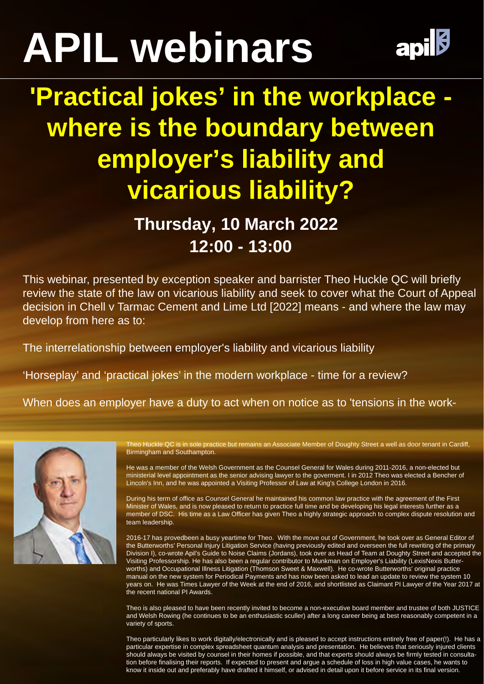## **APIL webinars**



## **'Practical jokes' in the workplace where is the boundary between employer's liability and vicarious liability?**

## **Thursday, 10 March 2022 12:00 - 13:00**

This webinar, presented by exception speaker and barrister Theo Huckle QC will briefly review the state of the law on vicarious liability and seek to cover what the Court of Appeal decision in Chell v Tarmac Cement and Lime Ltd [2022] means - and where the law may develop from here as to:

The interrelationship between employer's liability and vicarious liability

'Horseplay' and 'practical jokes' in the modern workplace - time for a review?

When does an employer have a duty to act when on notice as to 'tensions in the work-



Theo Huckle QC is in sole practice but remains an Associate Member of Doughty Street a well as door tenant in Cardiff, Birmingham and Southampton.

He was a member of the Welsh Government as the Counsel General for Wales during 2011-2016, a non-elected but ministerial level appointment as the senior advising lawyer to the goverment. I in 2012 Theo was elected a Bencher of Lincoln's Inn, and he was appointed a Visiting Professor of Law at King's College London in 2016.

During his term of office as Counsel General he maintained his common law practice with the agreement of the First Minister of Wales, and is now pleased to return to practice full time and be developing his legal interests further as a member of DSC. His time as a Law Officer has given Theo a highly strategic approach to complex dispute resolution and team leadership.

2016-17 has provedbeen a busy yeartime for Theo. With the move out of Government, he took over as General Editor of the Butterworths' Personal Injury Litigation Service (having previously edited and overseen the full rewriting of the primary Division I), co-wrote Apil's Guide to Noise Claims (Jordans), took over as Head of Team at Doughty Street and accepted the Visiting Professorship. He has also been a regular contributor to Munkman on Employer's Liability (LexisNexis Butterworths) and Occupational Illness Litigation (Thomson Sweet & Maxwell). He co-wrote Butterworths' original practice manual on the new system for Periodical Payments and has now been asked to lead an update to review the system 10 years on. He was Times Lawyer of the Week at the end of 2016, and shortlisted as Claimant PI Lawyer of the Year 2017 at the recent national PI Awards.

Theo is also pleased to have been recently invited to become a non-executive board member and trustee of both JUSTICE and Welsh Rowing (he continues to be an enthusiastic sculler) after a long career being at best reasonably competent in a variety of sports.

Theo particularly likes to work digitally/electronically and is pleased to accept instructions entirely free of paper(!). He has a particular expertise in complex spreadsheet quantum analysis and presentation. He believes that seriously injured clients should always be visited by counsel in their homes if possible, and that experts should always be firmly tested in consultation before finalising their reports. If expected to present and argue a schedule of loss in high value cases, he wants to know it inside out and preferably have drafted it himself, or advised in detail upon it before service in its final version.